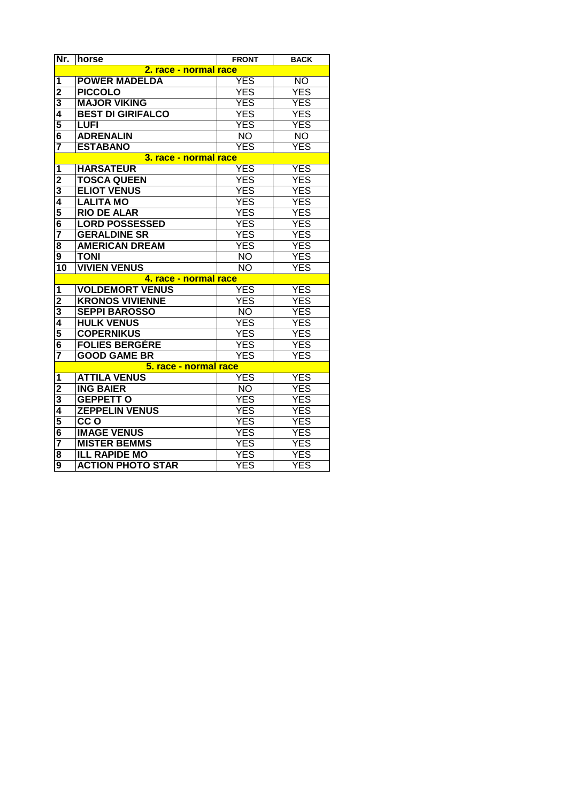| Nr.                     | horse                    | <b>FRONT</b>    | <b>BACK</b> |  |  |
|-------------------------|--------------------------|-----------------|-------------|--|--|
|                         | 2. race - normal race    |                 |             |  |  |
| 1                       | <b>POWER MADELDA</b>     | <b>YES</b>      | <b>NO</b>   |  |  |
| $\overline{c}$          | <b>PICCOLO</b>           | <b>YES</b>      | <b>YES</b>  |  |  |
| 3                       | <b>MAJOR VIKING</b>      | <b>YES</b>      | YES         |  |  |
| $\overline{\mathbf{4}}$ | <b>BEST DI GIRIFALCO</b> | <b>YES</b>      | <b>YES</b>  |  |  |
| 5                       | <b>LUFI</b>              | <b>YES</b>      | <b>YES</b>  |  |  |
| 6                       | <b>ADRENALIN</b>         | <b>NO</b>       | <b>NO</b>   |  |  |
| 7                       | <b>ESTABANO</b>          | YES             | YES         |  |  |
| 3. race - normal race   |                          |                 |             |  |  |
| 1                       | <b>HARSATEUR</b>         | <b>YES</b>      | <b>YES</b>  |  |  |
| $\overline{2}$          | <b>TOSCA QUEEN</b>       | <b>YES</b>      | <b>YES</b>  |  |  |
| 3                       | <b>ELIOT VENUS</b>       | <b>YES</b>      | <b>YES</b>  |  |  |
| 4                       | <b>LALITA MO</b>         | <b>YES</b>      | <b>YES</b>  |  |  |
| 5                       | <b>RIO DE ALAR</b>       | <b>YES</b>      | <b>YES</b>  |  |  |
| 6                       | <b>LORD POSSESSED</b>    | <b>YES</b>      | <b>YES</b>  |  |  |
| 7                       | <b>GERALDINE SR</b>      | <b>YES</b>      | <b>YES</b>  |  |  |
| 8                       | <b>AMERICAN DREAM</b>    | <b>YES</b>      | <b>YES</b>  |  |  |
| 9                       | <b>TONI</b>              | <b>NO</b>       | <b>YES</b>  |  |  |
| 10                      | <b>VIVIEN VENUS</b>      | <b>NO</b>       | <b>YES</b>  |  |  |
|                         | 4. race - normal race    |                 |             |  |  |
| 1                       | <b>VOLDEMORT VENUS</b>   | <b>YES</b>      | <b>YES</b>  |  |  |
| 2                       | <b>KRONOS VIVIENNE</b>   | <b>YES</b>      | <b>YES</b>  |  |  |
| 3                       | <b>SEPPI BAROSSO</b>     | $\overline{NO}$ | <b>YES</b>  |  |  |
| 4                       | <b>HULK VENUS</b>        | <b>YES</b>      | <b>YES</b>  |  |  |
| 5                       | <b>COPERNIKUS</b>        | <b>YES</b>      | <b>YES</b>  |  |  |
| $\overline{\mathbf{6}}$ | <b>FOLIES BERGÈRE</b>    | <b>YES</b>      | <b>YES</b>  |  |  |
|                         | <b>GOOD GAME BR</b>      | <b>YES</b>      | <b>YES</b>  |  |  |
|                         | 5. race - normal race    |                 |             |  |  |
| 1                       | <b>ATTILA VENUS</b>      | <b>YES</b>      | <b>YES</b>  |  |  |
| $\overline{2}$          | <b>ING BAIER</b>         | $\overline{NO}$ | <b>YES</b>  |  |  |
| 3                       | <b>GEPPETT O</b>         | <b>YES</b>      | <b>YES</b>  |  |  |
| $\overline{\mathbf{4}}$ | <b>ZEPPELIN VENUS</b>    | <b>YES</b>      | <b>YES</b>  |  |  |
| 5                       | $\overline{CCO}$         | <b>YES</b>      | <b>YES</b>  |  |  |
| 6                       | <b>IMAGE VENUS</b>       | <b>YES</b>      | <b>YES</b>  |  |  |
| 7                       | <b>MISTER BEMMS</b>      | <b>YES</b>      | <b>YES</b>  |  |  |
| 8                       | <b>ILL RAPIDE MO</b>     | <b>YES</b>      | <b>YES</b>  |  |  |
| $\overline{9}$          | <b>ACTION PHOTO STAR</b> | <b>YES</b>      | <b>YES</b>  |  |  |